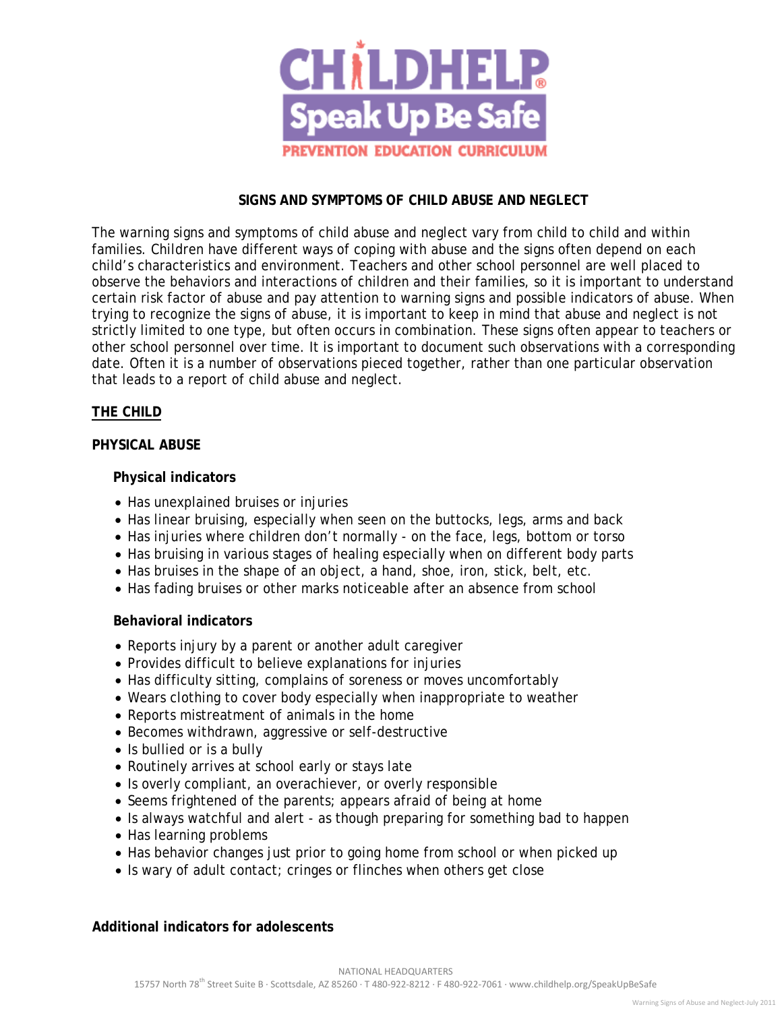

# **SIGNS AND SYMPTOMS OF CHILD ABUSE AND NEGLECT**

The warning signs and symptoms of child abuse and neglect vary from child to child and within families. Children have different ways of coping with abuse and the signs often depend on each child's characteristics and environment. Teachers and other school personnel are well placed to observe the behaviors and interactions of children and their families, so it is important to understand certain risk factor of abuse and pay attention to warning signs and possible indicators of abuse. When trying to recognize the signs of abuse, it is important to keep in mind that abuse and neglect is not strictly limited to one type, but often occurs in combination. These signs often appear to teachers or other school personnel over time. It is important to document such observations with a corresponding date. Often it is a number of observations pieced together, rather than one particular observation that leads to a report of child abuse and neglect.

### **THE CHILD**

### **PHYSICAL ABUSE**

### **Physical indicators**

- Has unexplained bruises or injuries
- Has linear bruising, especially when seen on the buttocks, legs, arms and back
- Has injuries where children don't normally on the face, legs, bottom or torso
- Has bruising in various stages of healing especially when on different body parts
- Has bruises in the shape of an object, a hand, shoe, iron, stick, belt, etc.
- Has fading bruises or other marks noticeable after an absence from school

#### **Behavioral indicators**

- Reports injury by a parent or another adult caregiver
- Provides difficult to believe explanations for injuries
- Has difficulty sitting, complains of soreness or moves uncomfortably
- Wears clothing to cover body especially when inappropriate to weather
- Reports mistreatment of animals in the home
- Becomes withdrawn, aggressive or self-destructive
- Is bullied or is a bully
- Routinely arrives at school early or stays late
- Is overly compliant, an overachiever, or overly responsible
- Seems frightened of the parents; appears afraid of being at home
- Is always watchful and alert as though preparing for something bad to happen
- Has learning problems
- Has behavior changes just prior to going home from school or when picked up
- Is wary of adult contact; cringes or flinches when others get close

#### **Additional indicators for adolescents**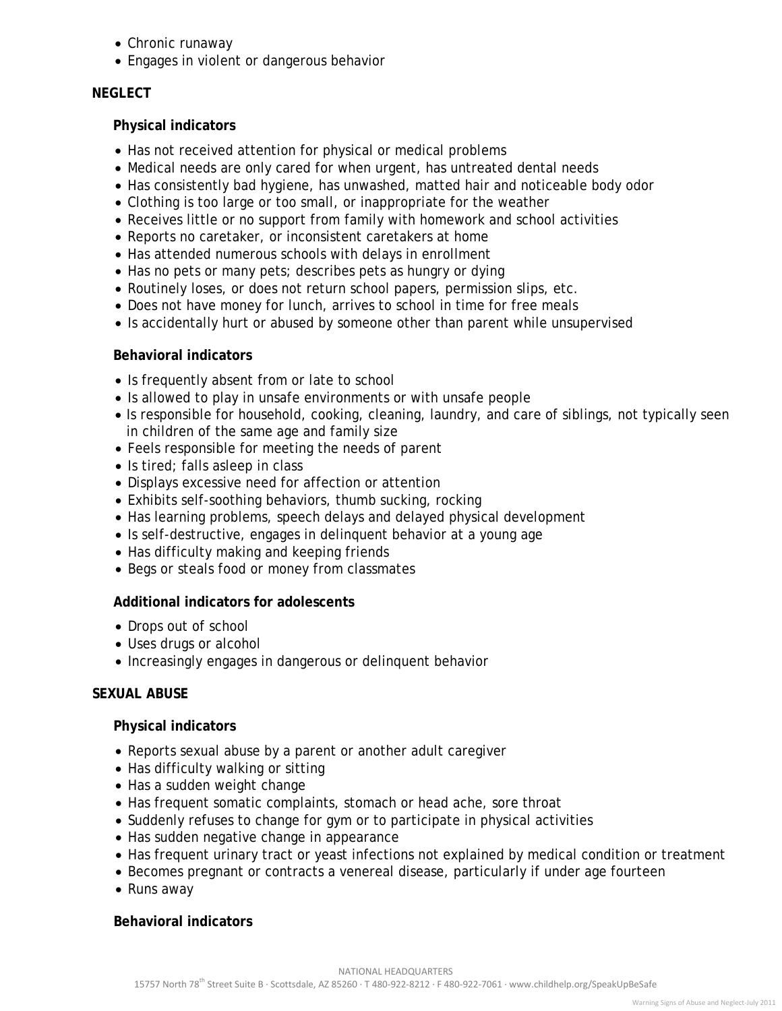- Chronic runaway
- Engages in violent or dangerous behavior

# **NEGLECT**

# **Physical indicators**

- Has not received attention for physical or medical problems
- Medical needs are only cared for when urgent, has untreated dental needs
- Has consistently bad hygiene, has unwashed, matted hair and noticeable body odor
- Clothing is too large or too small, or inappropriate for the weather
- Receives little or no support from family with homework and school activities
- Reports no caretaker, or inconsistent caretakers at home
- Has attended numerous schools with delays in enrollment
- Has no pets or many pets; describes pets as hungry or dying
- Routinely loses, or does not return school papers, permission slips, etc.
- Does not have money for lunch, arrives to school in time for free meals
- Is accidentally hurt or abused by someone other than parent while unsupervised

# **Behavioral indicators**

- Is frequently absent from or late to school
- Is allowed to play in unsafe environments or with unsafe people
- Is responsible for household, cooking, cleaning, laundry, and care of siblings, not typically seen in children of the same age and family size
- Feels responsible for meeting the needs of parent
- Is tired; falls asleep in class
- Displays excessive need for affection or attention
- Exhibits self-soothing behaviors, thumb sucking, rocking
- Has learning problems, speech delays and delayed physical development
- Is self-destructive, engages in delinquent behavior at a young age
- Has difficulty making and keeping friends
- Begs or steals food or money from classmates

# **Additional indicators for adolescents**

- Drops out of school
- Uses drugs or alcohol
- Increasingly engages in dangerous or delinquent behavior

### **SEXUAL ABUSE**

### **Physical indicators**

- Reports sexual abuse by a parent or another adult caregiver
- Has difficulty walking or sitting
- Has a sudden weight change
- Has frequent somatic complaints, stomach or head ache, sore throat
- Suddenly refuses to change for gym or to participate in physical activities
- Has sudden negative change in appearance
- Has frequent urinary tract or yeast infections not explained by medical condition or treatment
- Becomes pregnant or contracts a venereal disease, particularly if under age fourteen
- Runs away

### **Behavioral indicators**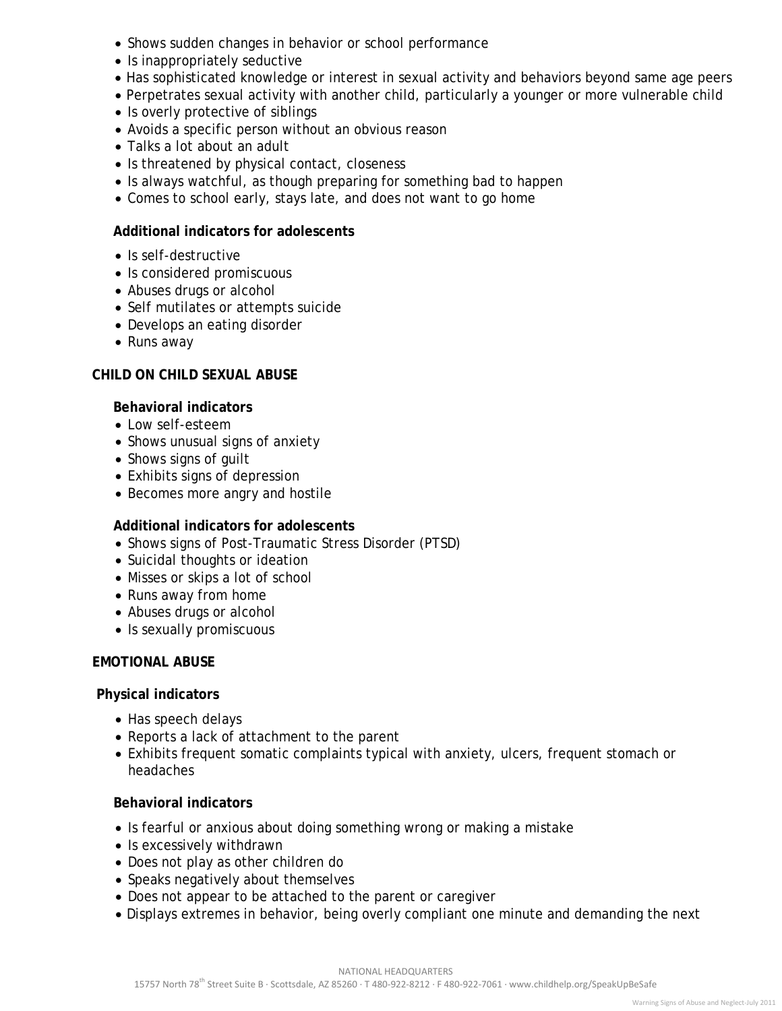- Shows sudden changes in behavior or school performance
- Is inappropriately seductive
- Has sophisticated knowledge or interest in sexual activity and behaviors beyond same age peers
- Perpetrates sexual activity with another child, particularly a younger or more vulnerable child
- Is overly protective of siblings
- Avoids a specific person without an obvious reason
- Talks a lot about an adult
- Is threatened by physical contact, closeness
- Is always watchful, as though preparing for something bad to happen
- Comes to school early, stays late, and does not want to go home

### **Additional indicators for adolescents**

- Is self-destructive
- Is considered promiscuous
- Abuses drugs or alcohol
- Self mutilates or attempts suicide
- Develops an eating disorder
- Runs away

### **CHILD ON CHILD SEXUAL ABUSE**

### **Behavioral indicators**

- Low self-esteem
- Shows unusual signs of anxiety
- Shows signs of guilt
- Exhibits signs of depression
- Becomes more angry and hostile

### **Additional indicators for adolescents**

- Shows signs of Post-Traumatic Stress Disorder (PTSD)
- Suicidal thoughts or ideation
- Misses or skips a lot of school
- Runs away from home
- Abuses drugs or alcohol
- Is sexually promiscuous

#### **EMOTIONAL ABUSE**

#### **Physical indicators**

- Has speech delays
- Reports a lack of attachment to the parent
- Exhibits frequent somatic complaints typical with anxiety, ulcers, frequent stomach or headaches

### **Behavioral indicators**

- Is fearful or anxious about doing something wrong or making a mistake
- Is excessively withdrawn
- Does not play as other children do
- Speaks negatively about themselves
- Does not appear to be attached to the parent or caregiver
- Displays extremes in behavior, being overly compliant one minute and demanding the next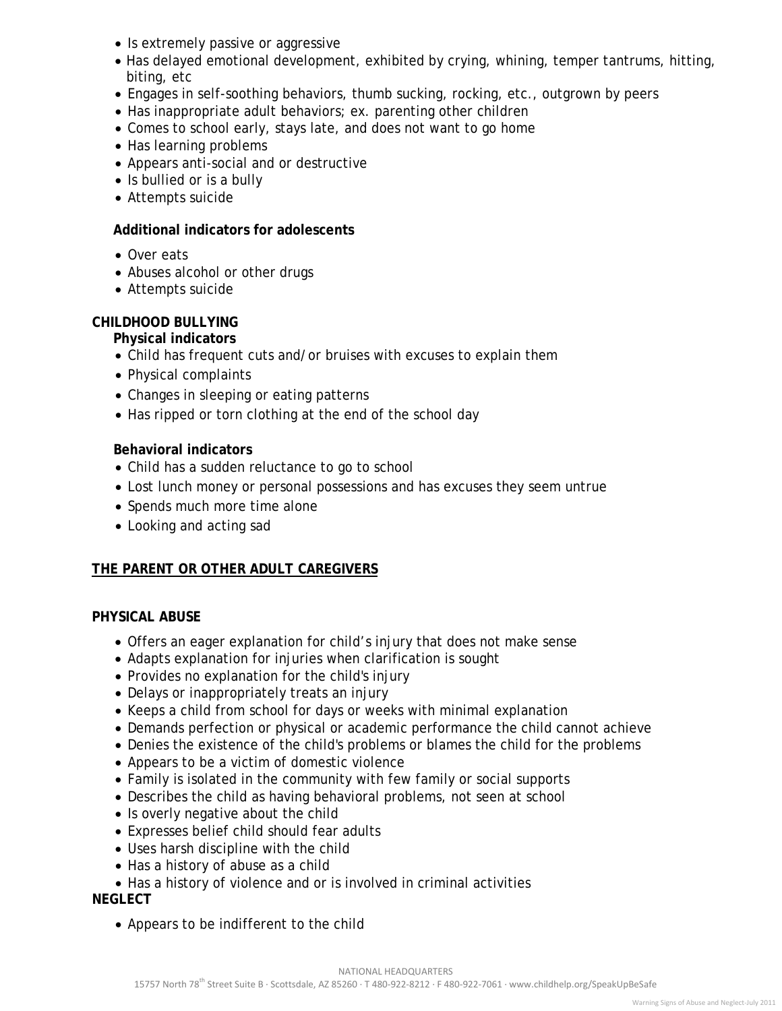- Is extremely passive or aggressive
- Has delayed emotional development, exhibited by crying, whining, temper tantrums, hitting, biting, etc
- Engages in self-soothing behaviors, thumb sucking, rocking, etc., outgrown by peers
- Has inappropriate adult behaviors; ex. parenting other children
- Comes to school early, stays late, and does not want to go home
- Has learning problems
- Appears anti-social and or destructive
- Is bullied or is a bully
- Attempts suicide

### **Additional indicators for adolescents**

- Over eats
- Abuses alcohol or other drugs
- Attempts suicide

# **CHILDHOOD BULLYING**

### **Physical indicators**

- Child has frequent cuts and/or bruises with excuses to explain them
- Physical complaints
- Changes in sleeping or eating patterns
- Has ripped or torn clothing at the end of the school day

### **Behavioral indicators**

- Child has a sudden reluctance to go to school
- Lost lunch money or personal possessions and has excuses they seem untrue
- Spends much more time alone
- Looking and acting sad

# **THE PARENT OR OTHER ADULT CAREGIVERS**

### **PHYSICAL ABUSE**

- Offers an eager explanation for child's injury that does not make sense
- Adapts explanation for injuries when clarification is sought
- Provides no explanation for the child's injury
- Delays or inappropriately treats an injury
- Keeps a child from school for days or weeks with minimal explanation
- Demands perfection or physical or academic performance the child cannot achieve
- Denies the existence of the child's problems or blames the child for the problems
- Appears to be a victim of domestic violence
- Family is isolated in the community with few family or social supports
- Describes the child as having behavioral problems, not seen at school
- Is overly negative about the child
- Expresses belief child should fear adults
- Uses harsh discipline with the child
- Has a history of abuse as a child
- Has a history of violence and or is involved in criminal activities

### **NEGLECT**

• Appears to be indifferent to the child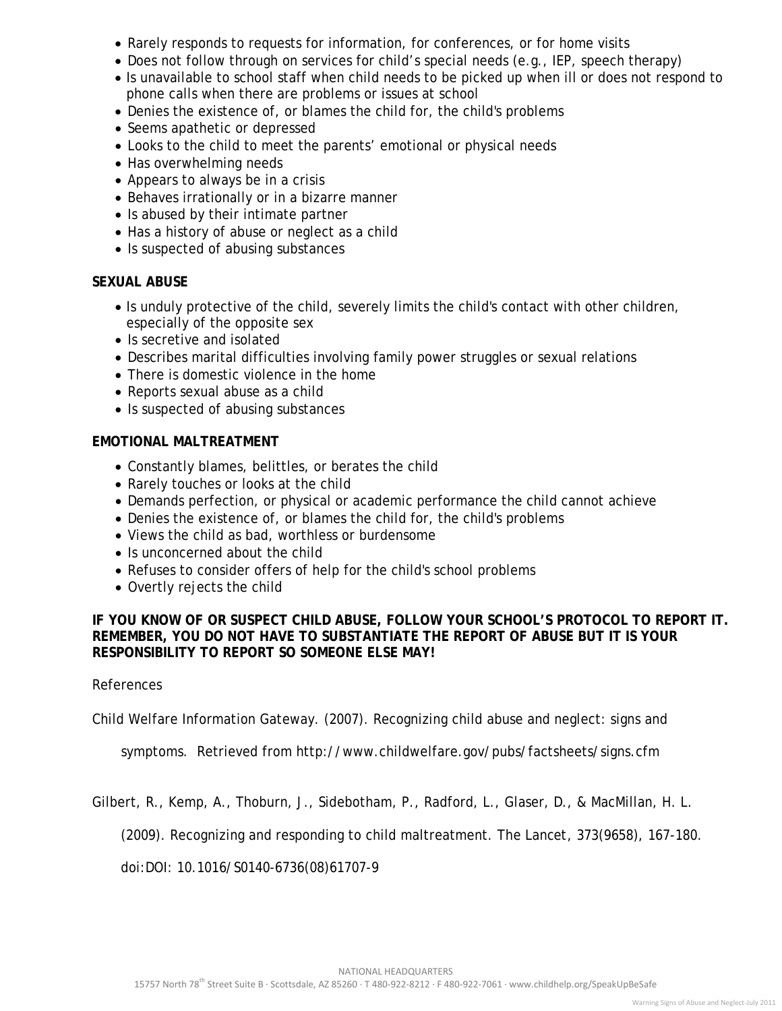- Rarely responds to requests for information, for conferences, or for home visits
- Does not follow through on services for child's special needs (e.g., IEP, speech therapy)
- Is unavailable to school staff when child needs to be picked up when ill or does not respond to phone calls when there are problems or issues at school
- Denies the existence of, or blames the child for, the child's problems
- Seems apathetic or depressed
- Looks to the child to meet the parents' emotional or physical needs
- Has overwhelming needs
- Appears to always be in a crisis
- Behaves irrationally or in a bizarre manner
- Is abused by their intimate partner
- Has a history of abuse or neglect as a child
- Is suspected of abusing substances

# **SEXUAL ABUSE**

- Is unduly protective of the child, severely limits the child's contact with other children, especially of the opposite sex
- Is secretive and isolated
- Describes marital difficulties involving family power struggles or sexual relations
- There is domestic violence in the home
- Reports sexual abuse as a child
- Is suspected of abusing substances

#### **EMOTIONAL MALTREATMENT**

- Constantly blames, belittles, or berates the child
- Rarely touches or looks at the child
- Demands perfection, or physical or academic performance the child cannot achieve
- Denies the existence of, or blames the child for, the child's problems
- Views the child as bad, worthless or burdensome
- Is unconcerned about the child
- Refuses to consider offers of help for the child's school problems
- Overtly rejects the child

### **IF YOU KNOW OF OR SUSPECT CHILD ABUSE, FOLLOW YOUR SCHOOL'S PROTOCOL TO REPORT IT. REMEMBER, YOU DO NOT HAVE TO SUBSTANTIATE THE REPORT OF ABUSE BUT IT IS YOUR RESPONSIBILITY TO REPORT SO SOMEONE ELSE MAY!**

#### References

Child Welfare Information Gateway. (2007). Recognizing child abuse and neglect: signs and

symptoms. Retrieved from http://www.childwelfare.gov/pubs/factsheets/signs.cfm

Gilbert, R., Kemp, A., Thoburn, J., Sidebotham, P., Radford, L., Glaser, D., & MacMillan, H. L.

(2009). Recognizing and responding to child maltreatment. *The Lancet, 373*(9658), 167-180.

doi:DOI: 10.1016/S0140-6736(08)61707-9